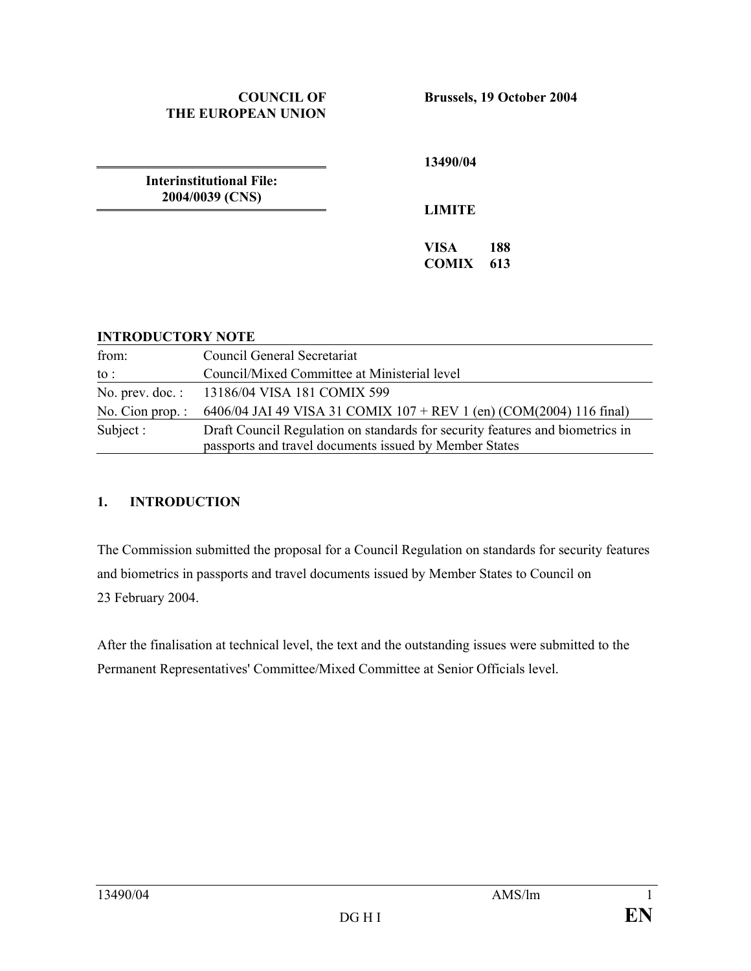#### **COUNCIL OF THE EUROPEAN UNION**

**Brussels, 19 October 2004** 

**Interinstitutional File: 2004/0039 (CNS)** 

**13490/04** 

**LIMITE** 

**VISA 188 COMIX 613** 

### **INTRODUCTORY NOTE**

| from:            | Council General Secretariat                                                                                                             |
|------------------|-----------------------------------------------------------------------------------------------------------------------------------------|
| to :             | Council/Mixed Committee at Ministerial level                                                                                            |
|                  | No. prev. doc.: 13186/04 VISA 181 COMIX 599                                                                                             |
| No. Cion prop. : | 6406/04 JAI 49 VISA 31 COMIX 107 + REV 1 (en) (COM(2004) 116 final)                                                                     |
| Subject:         | Draft Council Regulation on standards for security features and biometrics in<br>passports and travel documents issued by Member States |

### **1. INTRODUCTION**

The Commission submitted the proposal for a Council Regulation on standards for security features and biometrics in passports and travel documents issued by Member States to Council on 23 February 2004.

After the finalisation at technical level, the text and the outstanding issues were submitted to the Permanent Representatives' Committee/Mixed Committee at Senior Officials level.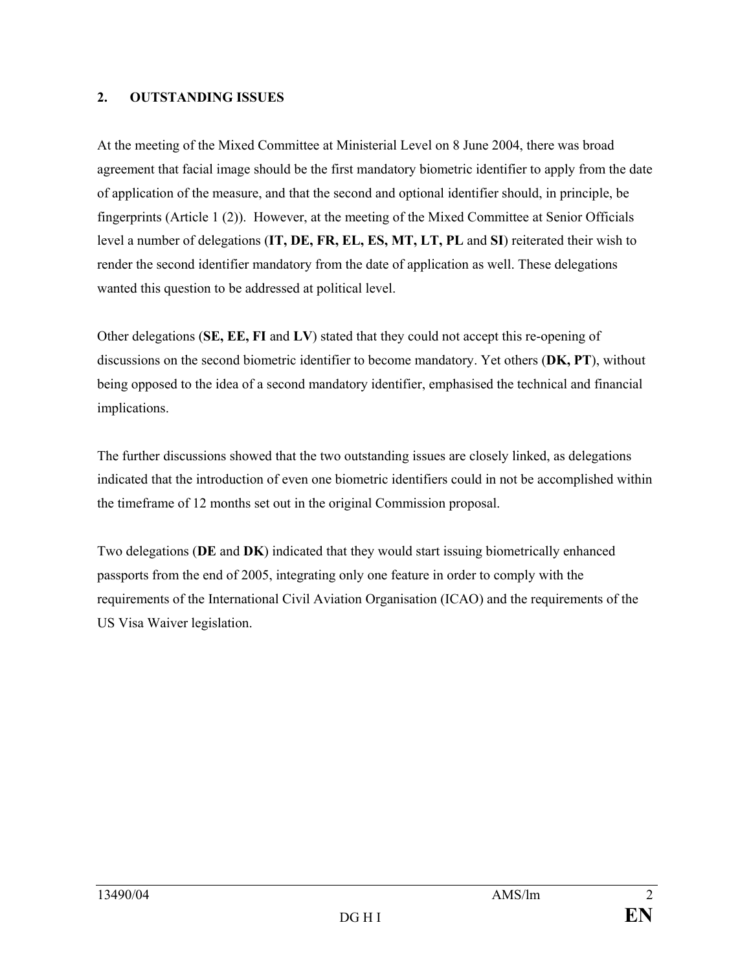#### **2. OUTSTANDING ISSUES**

At the meeting of the Mixed Committee at Ministerial Level on 8 June 2004, there was broad agreement that facial image should be the first mandatory biometric identifier to apply from the date of application of the measure, and that the second and optional identifier should, in principle, be fingerprints (Article 1 (2)). However, at the meeting of the Mixed Committee at Senior Officials level a number of delegations (**IT, DE, FR, EL, ES, MT, LT, PL** and **SI**) reiterated their wish to render the second identifier mandatory from the date of application as well. These delegations wanted this question to be addressed at political level.

Other delegations (**SE, EE, FI** and **LV**) stated that they could not accept this re-opening of discussions on the second biometric identifier to become mandatory. Yet others (**DK, PT**), without being opposed to the idea of a second mandatory identifier, emphasised the technical and financial implications.

The further discussions showed that the two outstanding issues are closely linked, as delegations indicated that the introduction of even one biometric identifiers could in not be accomplished within the timeframe of 12 months set out in the original Commission proposal.

Two delegations (**DE** and **DK**) indicated that they would start issuing biometrically enhanced passports from the end of 2005, integrating only one feature in order to comply with the requirements of the International Civil Aviation Organisation (ICAO) and the requirements of the US Visa Waiver legislation.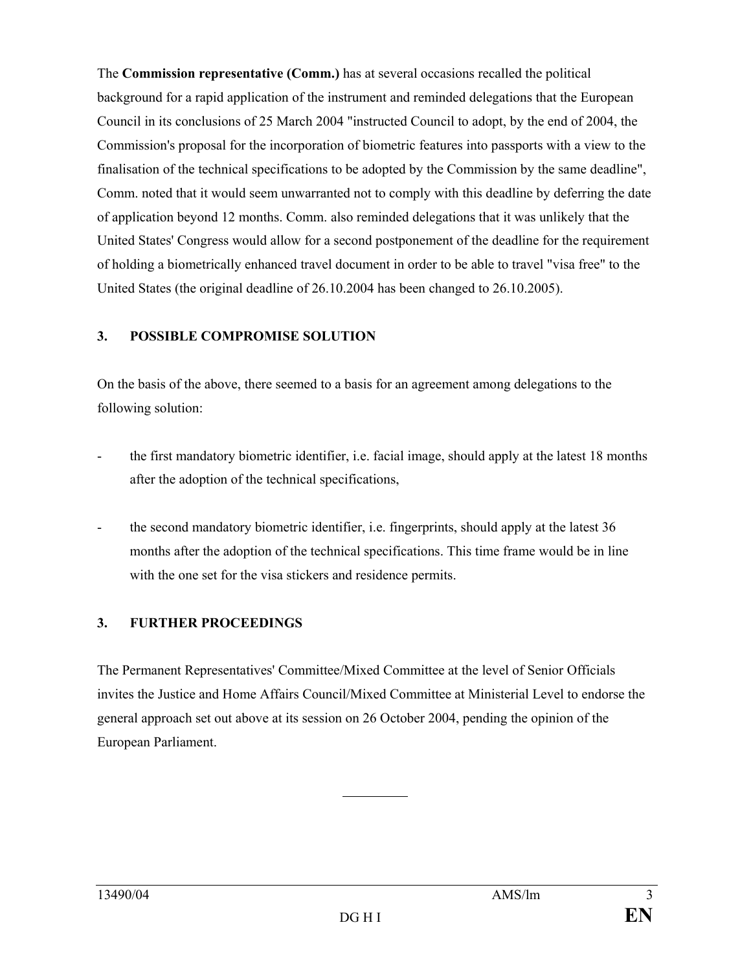The **Commission representative (Comm.)** has at several occasions recalled the political background for a rapid application of the instrument and reminded delegations that the European Council in its conclusions of 25 March 2004 "instructed Council to adopt, by the end of 2004, the Commission's proposal for the incorporation of biometric features into passports with a view to the finalisation of the technical specifications to be adopted by the Commission by the same deadline", Comm. noted that it would seem unwarranted not to comply with this deadline by deferring the date of application beyond 12 months. Comm. also reminded delegations that it was unlikely that the United States' Congress would allow for a second postponement of the deadline for the requirement of holding a biometrically enhanced travel document in order to be able to travel "visa free" to the United States (the original deadline of 26.10.2004 has been changed to 26.10.2005).

## **3. POSSIBLE COMPROMISE SOLUTION**

On the basis of the above, there seemed to a basis for an agreement among delegations to the following solution:

- the first mandatory biometric identifier, i.e. facial image, should apply at the latest 18 months after the adoption of the technical specifications,
- the second mandatory biometric identifier, i.e. fingerprints, should apply at the latest 36 months after the adoption of the technical specifications. This time frame would be in line with the one set for the visa stickers and residence permits.

### **3. FURTHER PROCEEDINGS**

The Permanent Representatives' Committee/Mixed Committee at the level of Senior Officials invites the Justice and Home Affairs Council/Mixed Committee at Ministerial Level to endorse the general approach set out above at its session on 26 October 2004, pending the opinion of the European Parliament.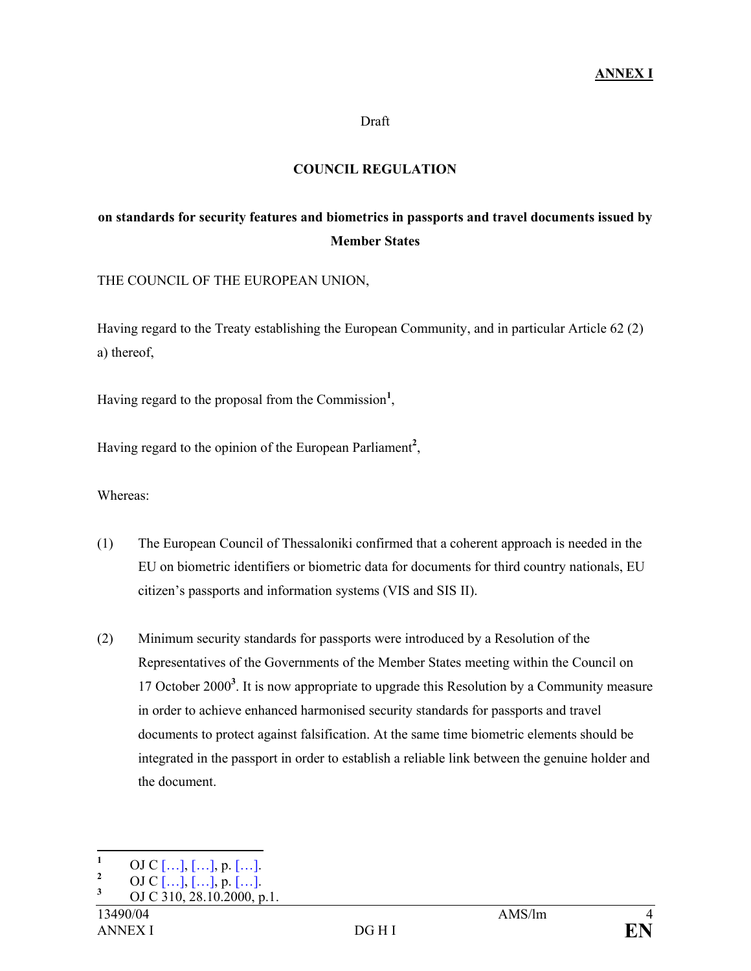#### Draft

### **COUNCIL REGULATION**

# **on standards for security features and biometrics in passports and travel documents issued by Member States**

THE COUNCIL OF THE EUROPEAN UNION,

Having regard to the Treaty establishing the European Community, and in particular Article 62 (2) a) thereof,

Having regard to the proposal from the Commission**<sup>1</sup>** ,

Having regard to the opinion of the European Parliament<sup>2</sup>,

Whereas:

- (1) The European Council of Thessaloniki confirmed that a coherent approach is needed in the EU on biometric identifiers or biometric data for documents for third country nationals, EU citizen's passports and information systems (VIS and SIS II).
- (2) Minimum security standards for passports were introduced by a Resolution of the Representatives of the Governments of the Member States meeting within the Council on 17 October 2000**<sup>3</sup>** . It is now appropriate to upgrade this Resolution by a Community measure in order to achieve enhanced harmonised security standards for passports and travel documents to protect against falsification. At the same time biometric elements should be integrated in the passport in order to establish a reliable link between the genuine holder and the document.

 **1**  $\frac{1}{2}$  OJ C [...], [...], p. [...].

 $\frac{2}{3}$  OJ C [...], [...], p. [...].

OJ C 310, 28.10.2000, p.1.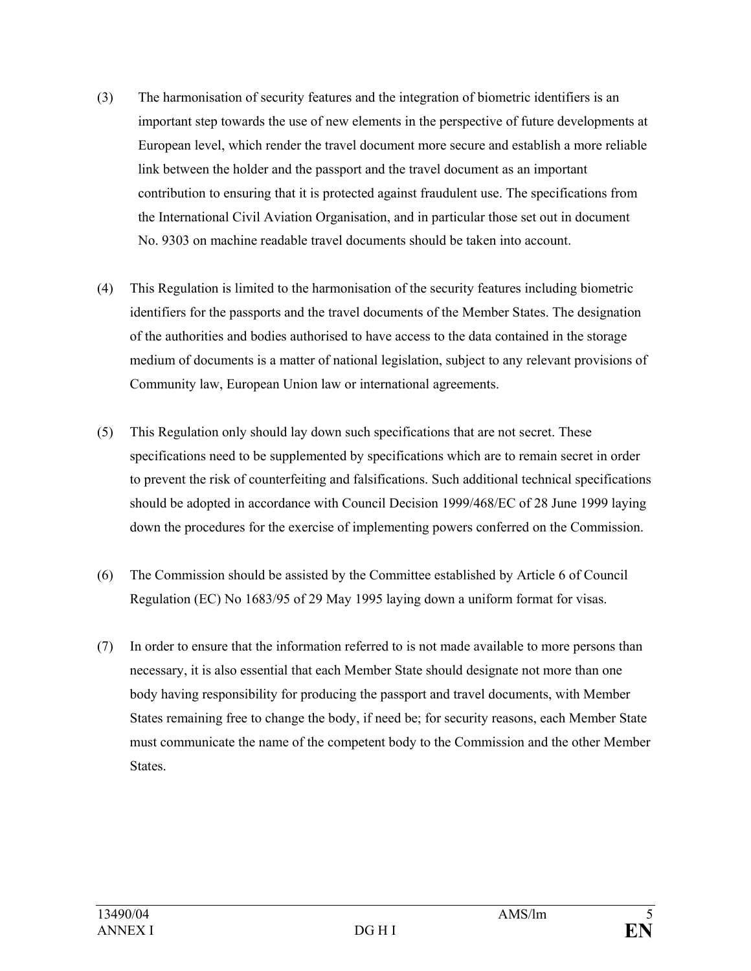- (3) The harmonisation of security features and the integration of biometric identifiers is an important step towards the use of new elements in the perspective of future developments at European level, which render the travel document more secure and establish a more reliable link between the holder and the passport and the travel document as an important contribution to ensuring that it is protected against fraudulent use. The specifications from the International Civil Aviation Organisation, and in particular those set out in document No. 9303 on machine readable travel documents should be taken into account.
- (4) This Regulation is limited to the harmonisation of the security features including biometric identifiers for the passports and the travel documents of the Member States. The designation of the authorities and bodies authorised to have access to the data contained in the storage medium of documents is a matter of national legislation, subject to any relevant provisions of Community law, European Union law or international agreements.
- (5) This Regulation only should lay down such specifications that are not secret. These specifications need to be supplemented by specifications which are to remain secret in order to prevent the risk of counterfeiting and falsifications. Such additional technical specifications should be adopted in accordance with Council Decision 1999/468/EC of 28 June 1999 laying down the procedures for the exercise of implementing powers conferred on the Commission.
- (6) The Commission should be assisted by the Committee established by Article 6 of Council Regulation (EC) No 1683/95 of 29 May 1995 laying down a uniform format for visas.
- (7) In order to ensure that the information referred to is not made available to more persons than necessary, it is also essential that each Member State should designate not more than one body having responsibility for producing the passport and travel documents, with Member States remaining free to change the body, if need be; for security reasons, each Member State must communicate the name of the competent body to the Commission and the other Member States.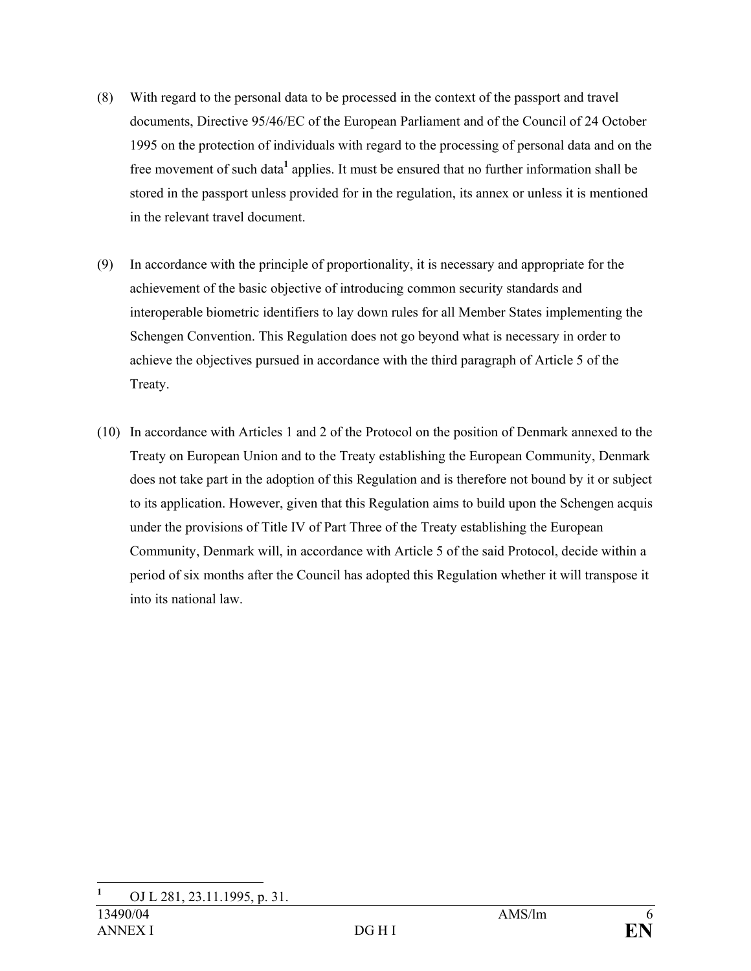- (8) With regard to the personal data to be processed in the context of the passport and travel documents, Directive 95/46/EC of the European Parliament and of the Council of 24 October 1995 on the protection of individuals with regard to the processing of personal data and on the free movement of such data<sup>1</sup> applies. It must be ensured that no further information shall be stored in the passport unless provided for in the regulation, its annex or unless it is mentioned in the relevant travel document.
- (9) In accordance with the principle of proportionality, it is necessary and appropriate for the achievement of the basic objective of introducing common security standards and interoperable biometric identifiers to lay down rules for all Member States implementing the Schengen Convention. This Regulation does not go beyond what is necessary in order to achieve the objectives pursued in accordance with the third paragraph of Article 5 of the Treaty.
- (10) In accordance with Articles 1 and 2 of the Protocol on the position of Denmark annexed to the Treaty on European Union and to the Treaty establishing the European Community, Denmark does not take part in the adoption of this Regulation and is therefore not bound by it or subject to its application. However, given that this Regulation aims to build upon the Schengen acquis under the provisions of Title IV of Part Three of the Treaty establishing the European Community, Denmark will, in accordance with Article 5 of the said Protocol, decide within a period of six months after the Council has adopted this Regulation whether it will transpose it into its national law.

**<sup>1</sup>** OJ L 281, 23.11.1995, p. 31.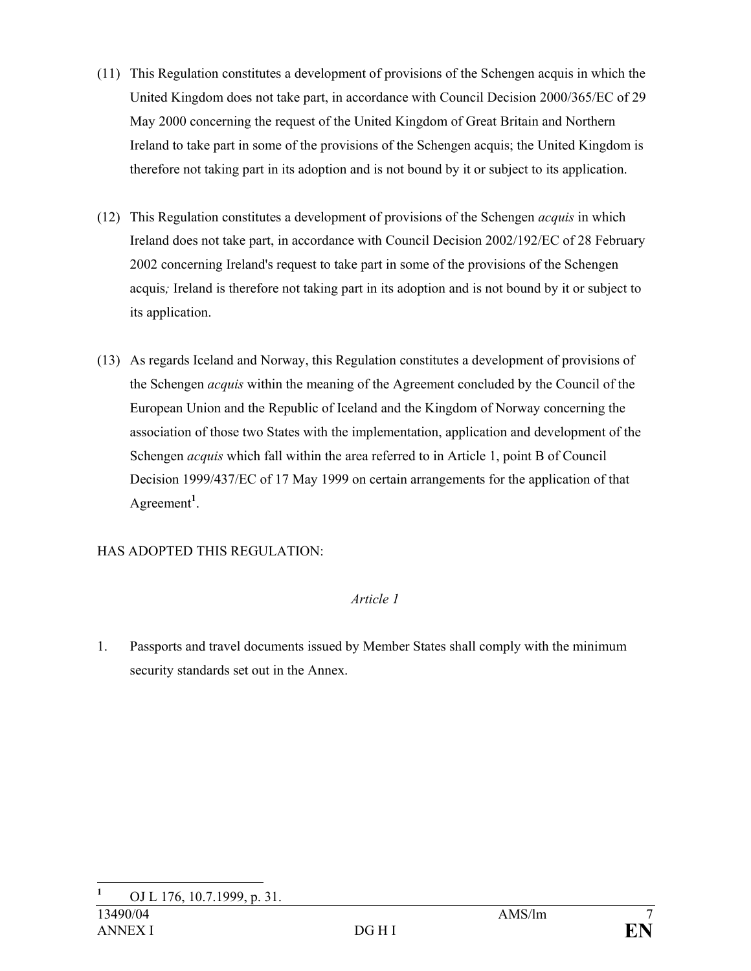- (11) This Regulation constitutes a development of provisions of the Schengen acquis in which the United Kingdom does not take part, in accordance with Council Decision 2000/365/EC of 29 May 2000 concerning the request of the United Kingdom of Great Britain and Northern Ireland to take part in some of the provisions of the Schengen acquis; the United Kingdom is therefore not taking part in its adoption and is not bound by it or subject to its application.
- (12) This Regulation constitutes a development of provisions of the Schengen *acquis* in which Ireland does not take part, in accordance with Council Decision 2002/192/EC of 28 February 2002 concerning Ireland's request to take part in some of the provisions of the Schengen acquis*;* Ireland is therefore not taking part in its adoption and is not bound by it or subject to its application.
- (13) As regards Iceland and Norway, this Regulation constitutes a development of provisions of the Schengen *acquis* within the meaning of the Agreement concluded by the Council of the European Union and the Republic of Iceland and the Kingdom of Norway concerning the association of those two States with the implementation, application and development of the Schengen *acquis* which fall within the area referred to in Article 1, point B of Council Decision 1999/437/EC of 17 May 1999 on certain arrangements for the application of that Agreement**<sup>1</sup>** .

## HAS ADOPTED THIS REGULATION:

### *Article 1*

1. Passports and travel documents issued by Member States shall comply with the minimum security standards set out in the Annex.

**<sup>1</sup>** OJ L 176, 10.7.1999, p. 31.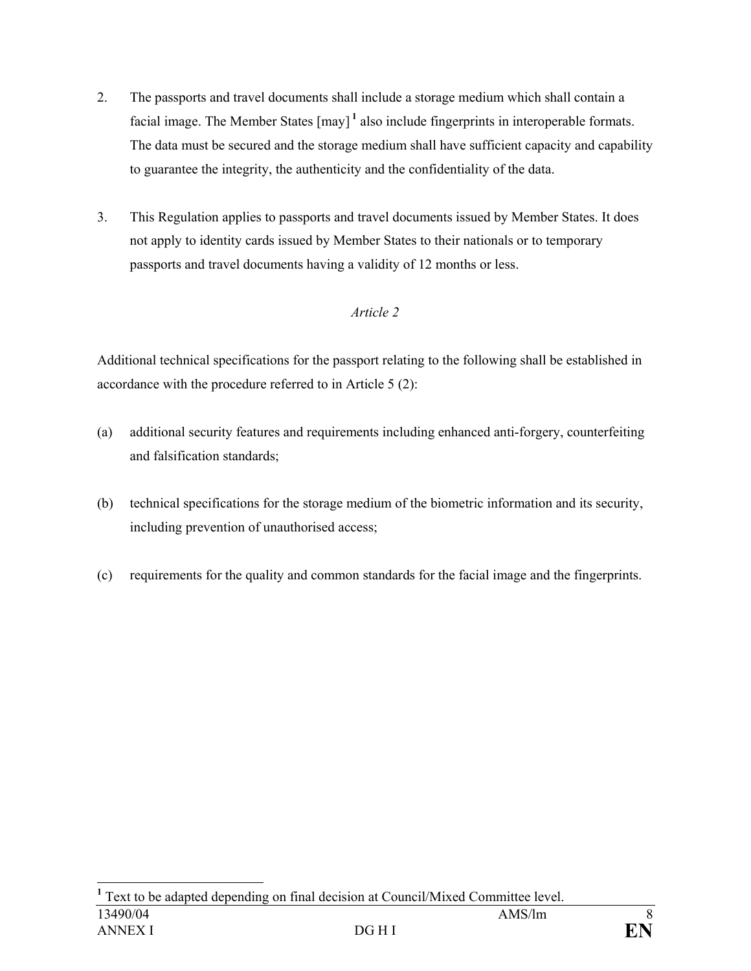- 2. The passports and travel documents shall include a storage medium which shall contain a facial image. The Member States [may]**<sup>1</sup>** also include fingerprints in interoperable formats. The data must be secured and the storage medium shall have sufficient capacity and capability to guarantee the integrity, the authenticity and the confidentiality of the data.
- 3. This Regulation applies to passports and travel documents issued by Member States. It does not apply to identity cards issued by Member States to their nationals or to temporary passports and travel documents having a validity of 12 months or less.

## *Article 2*

Additional technical specifications for the passport relating to the following shall be established in accordance with the procedure referred to in Article 5 (2):

- (a) additional security features and requirements including enhanced anti-forgery, counterfeiting and falsification standards;
- (b) technical specifications for the storage medium of the biometric information and its security, including prevention of unauthorised access;
- (c) requirements for the quality and common standards for the facial image and the fingerprints.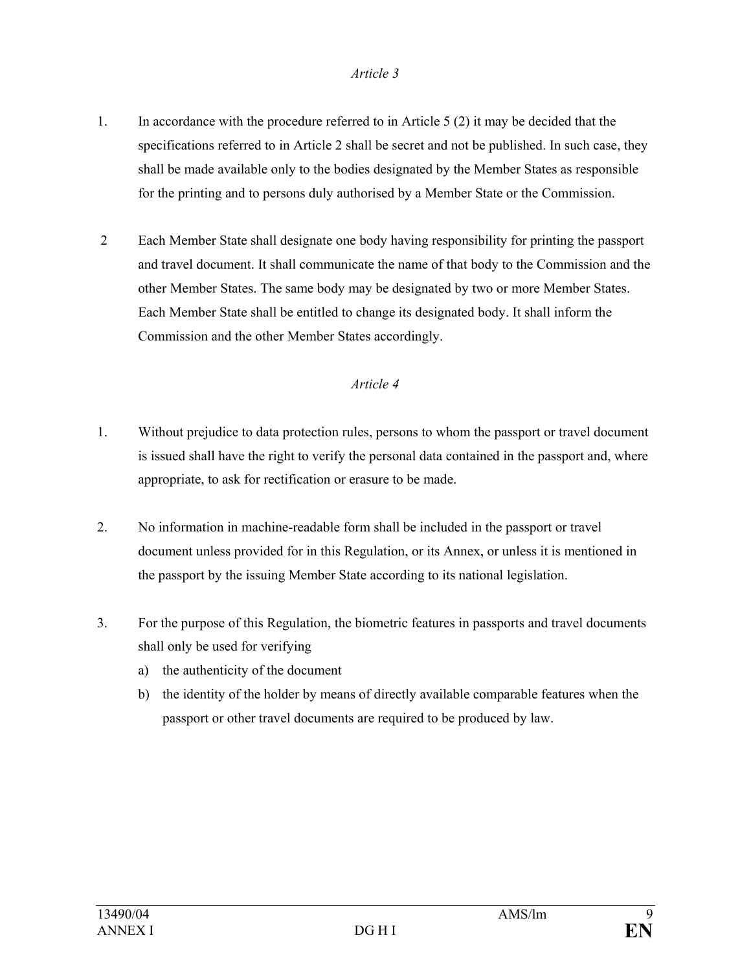#### *Article 3*

- 1. In accordance with the procedure referred to in Article 5 (2) it may be decided that the specifications referred to in Article 2 shall be secret and not be published. In such case, they shall be made available only to the bodies designated by the Member States as responsible for the printing and to persons duly authorised by a Member State or the Commission.
- 2 Each Member State shall designate one body having responsibility for printing the passport and travel document. It shall communicate the name of that body to the Commission and the other Member States. The same body may be designated by two or more Member States. Each Member State shall be entitled to change its designated body. It shall inform the Commission and the other Member States accordingly.

## *Article 4*

- 1. Without prejudice to data protection rules, persons to whom the passport or travel document is issued shall have the right to verify the personal data contained in the passport and, where appropriate, to ask for rectification or erasure to be made.
- 2. No information in machine-readable form shall be included in the passport or travel document unless provided for in this Regulation, or its Annex, or unless it is mentioned in the passport by the issuing Member State according to its national legislation.
- 3. For the purpose of this Regulation, the biometric features in passports and travel documents shall only be used for verifying
	- a) the authenticity of the document
	- b) the identity of the holder by means of directly available comparable features when the passport or other travel documents are required to be produced by law.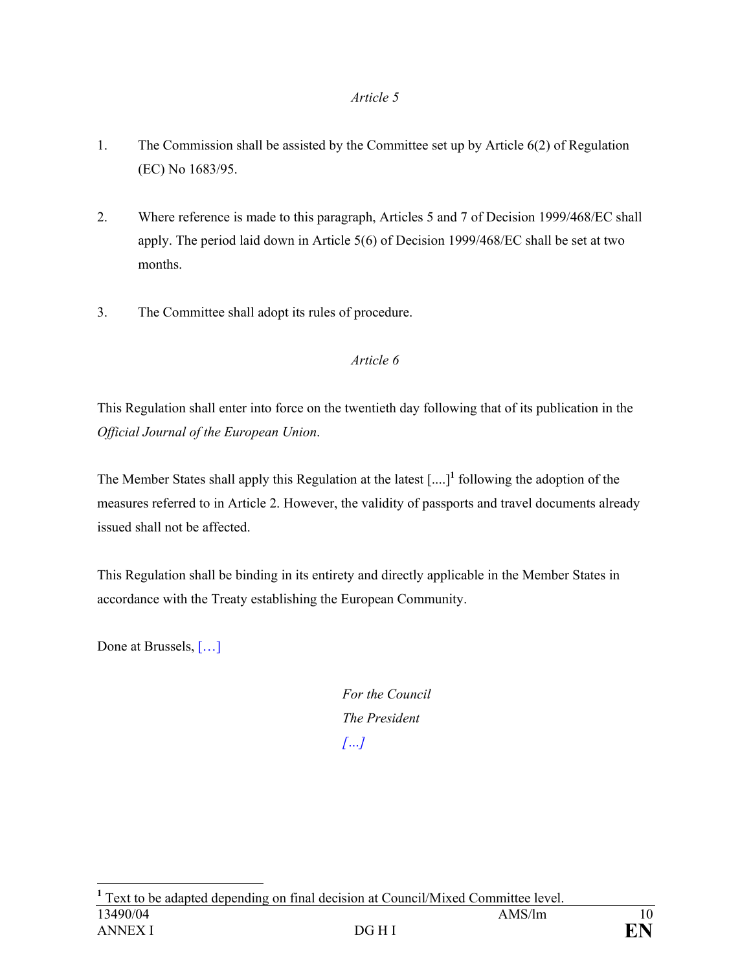#### *Article 5*

- 1. The Commission shall be assisted by the Committee set up by Article 6(2) of Regulation (EC) No 1683/95.
- 2. Where reference is made to this paragraph, Articles 5 and 7 of Decision 1999/468/EC shall apply. The period laid down in Article 5(6) of Decision 1999/468/EC shall be set at two months.
- 3. The Committee shall adopt its rules of procedure.

### *Article 6*

This Regulation shall enter into force on the twentieth day following that of its publication in the *Official Journal of the European Union*.

The Member States shall apply this Regulation at the latest [....]**<sup>1</sup>** following the adoption of the measures referred to in Article 2. However, the validity of passports and travel documents already issued shall not be affected.

This Regulation shall be binding in its entirety and directly applicable in the Member States in accordance with the Treaty establishing the European Community.

Done at Brussels, […]

l

 *For the Council The President […]*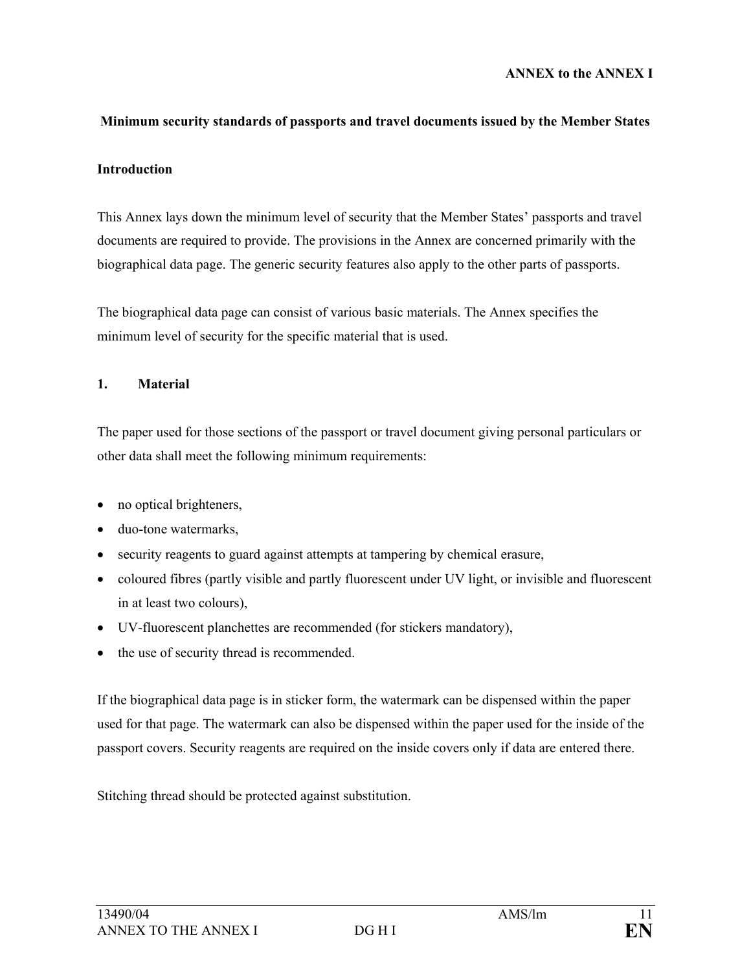#### **Minimum security standards of passports and travel documents issued by the Member States**

#### **Introduction**

This Annex lays down the minimum level of security that the Member States' passports and travel documents are required to provide. The provisions in the Annex are concerned primarily with the biographical data page. The generic security features also apply to the other parts of passports.

The biographical data page can consist of various basic materials. The Annex specifies the minimum level of security for the specific material that is used.

#### **1. Material**

The paper used for those sections of the passport or travel document giving personal particulars or other data shall meet the following minimum requirements:

- no optical brighteners,
- duo-tone watermarks,
- security reagents to guard against attempts at tampering by chemical erasure,
- coloured fibres (partly visible and partly fluorescent under UV light, or invisible and fluorescent in at least two colours),
- UV-fluorescent planchettes are recommended (for stickers mandatory),
- the use of security thread is recommended.

If the biographical data page is in sticker form, the watermark can be dispensed within the paper used for that page. The watermark can also be dispensed within the paper used for the inside of the passport covers. Security reagents are required on the inside covers only if data are entered there.

Stitching thread should be protected against substitution.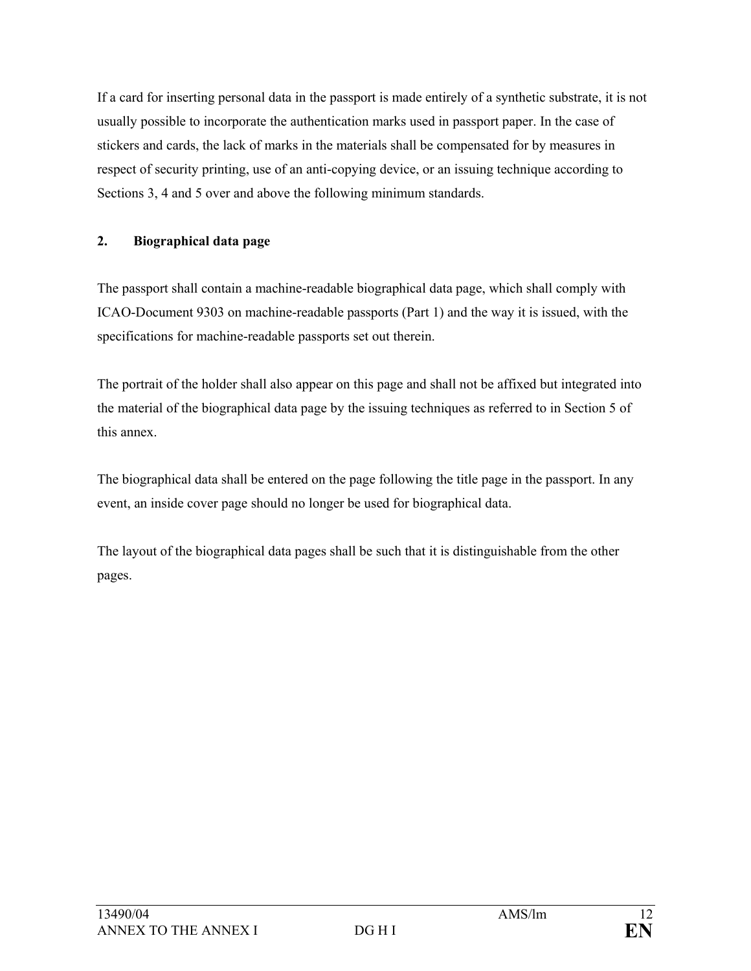If a card for inserting personal data in the passport is made entirely of a synthetic substrate, it is not usually possible to incorporate the authentication marks used in passport paper. In the case of stickers and cards, the lack of marks in the materials shall be compensated for by measures in respect of security printing, use of an anti-copying device, or an issuing technique according to Sections 3, 4 and 5 over and above the following minimum standards.

## **2. Biographical data page**

The passport shall contain a machine-readable biographical data page, which shall comply with ICAO-Document 9303 on machine-readable passports (Part 1) and the way it is issued, with the specifications for machine-readable passports set out therein.

The portrait of the holder shall also appear on this page and shall not be affixed but integrated into the material of the biographical data page by the issuing techniques as referred to in Section 5 of this annex.

The biographical data shall be entered on the page following the title page in the passport. In any event, an inside cover page should no longer be used for biographical data.

The layout of the biographical data pages shall be such that it is distinguishable from the other pages.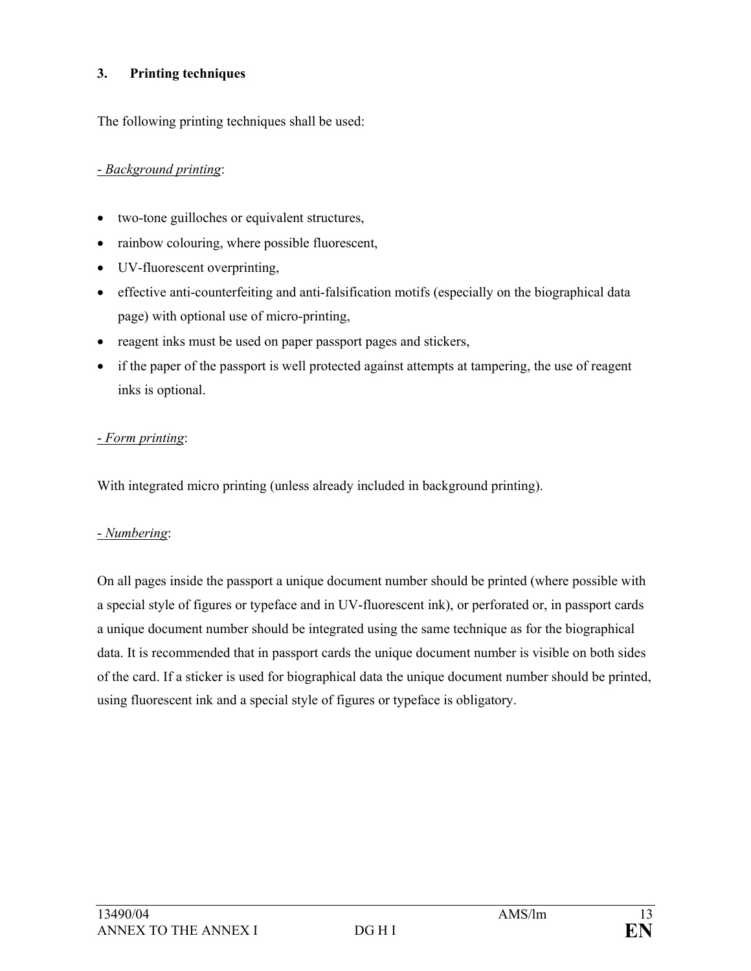## **3. Printing techniques**

The following printing techniques shall be used:

## - *Background printing*:

- two-tone guilloches or equivalent structures,
- rainbow colouring, where possible fluorescent,
- UV-fluorescent overprinting,
- effective anti-counterfeiting and anti-falsification motifs (especially on the biographical data page) with optional use of micro-printing,
- reagent inks must be used on paper passport pages and stickers,
- if the paper of the passport is well protected against attempts at tampering, the use of reagent inks is optional.

## - *Form printing*:

With integrated micro printing (unless already included in background printing).

### - *Numbering*:

On all pages inside the passport a unique document number should be printed (where possible with a special style of figures or typeface and in UV-fluorescent ink), or perforated or, in passport cards a unique document number should be integrated using the same technique as for the biographical data. It is recommended that in passport cards the unique document number is visible on both sides of the card. If a sticker is used for biographical data the unique document number should be printed, using fluorescent ink and a special style of figures or typeface is obligatory.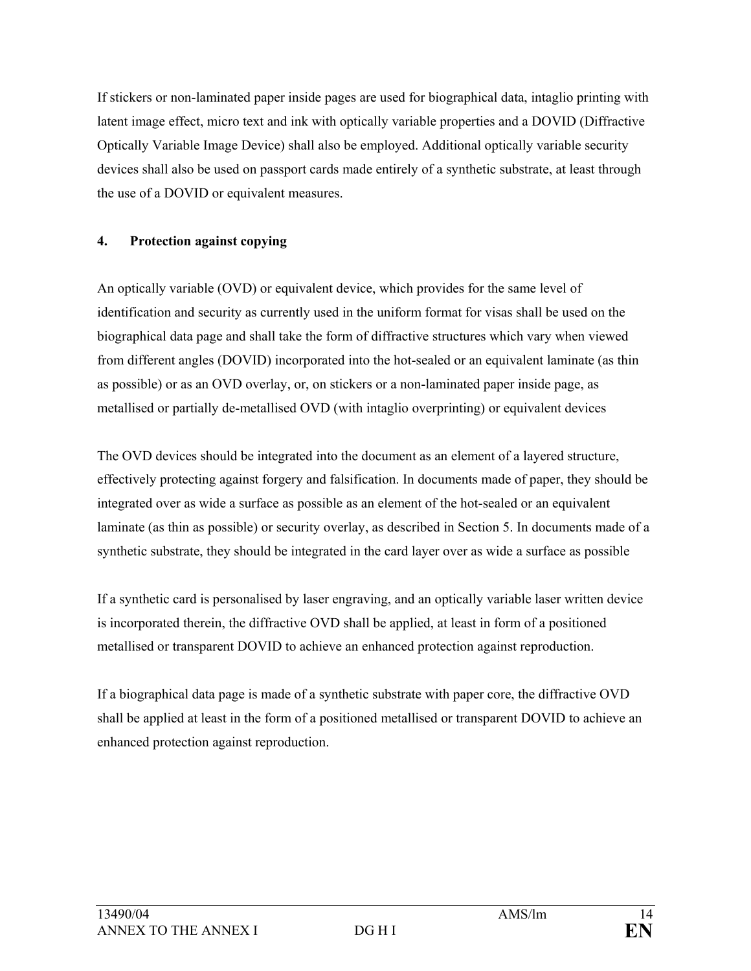If stickers or non-laminated paper inside pages are used for biographical data, intaglio printing with latent image effect, micro text and ink with optically variable properties and a DOVID (Diffractive Optically Variable Image Device) shall also be employed. Additional optically variable security devices shall also be used on passport cards made entirely of a synthetic substrate, at least through the use of a DOVID or equivalent measures.

## **4. Protection against copying**

An optically variable (OVD) or equivalent device, which provides for the same level of identification and security as currently used in the uniform format for visas shall be used on the biographical data page and shall take the form of diffractive structures which vary when viewed from different angles (DOVID) incorporated into the hot-sealed or an equivalent laminate (as thin as possible) or as an OVD overlay, or, on stickers or a non-laminated paper inside page, as metallised or partially de-metallised OVD (with intaglio overprinting) or equivalent devices

The OVD devices should be integrated into the document as an element of a layered structure, effectively protecting against forgery and falsification. In documents made of paper, they should be integrated over as wide a surface as possible as an element of the hot-sealed or an equivalent laminate (as thin as possible) or security overlay, as described in Section 5. In documents made of a synthetic substrate, they should be integrated in the card layer over as wide a surface as possible

If a synthetic card is personalised by laser engraving, and an optically variable laser written device is incorporated therein, the diffractive OVD shall be applied, at least in form of a positioned metallised or transparent DOVID to achieve an enhanced protection against reproduction.

If a biographical data page is made of a synthetic substrate with paper core, the diffractive OVD shall be applied at least in the form of a positioned metallised or transparent DOVID to achieve an enhanced protection against reproduction.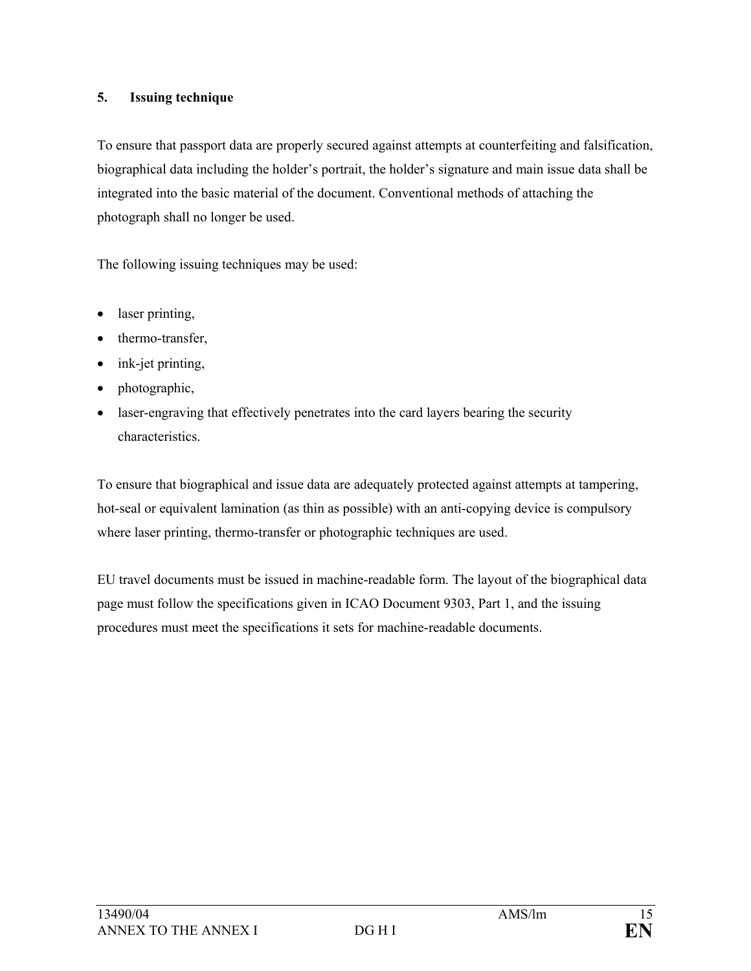## **5. Issuing technique**

To ensure that passport data are properly secured against attempts at counterfeiting and falsification, biographical data including the holder's portrait, the holder's signature and main issue data shall be integrated into the basic material of the document. Conventional methods of attaching the photograph shall no longer be used.

The following issuing techniques may be used:

- laser printing,
- thermo-transfer,
- ink-jet printing,
- photographic,
- laser-engraving that effectively penetrates into the card layers bearing the security characteristics.

To ensure that biographical and issue data are adequately protected against attempts at tampering, hot-seal or equivalent lamination (as thin as possible) with an anti-copying device is compulsory where laser printing, thermo-transfer or photographic techniques are used.

EU travel documents must be issued in machine-readable form. The layout of the biographical data page must follow the specifications given in ICAO Document 9303, Part 1, and the issuing procedures must meet the specifications it sets for machine-readable documents.